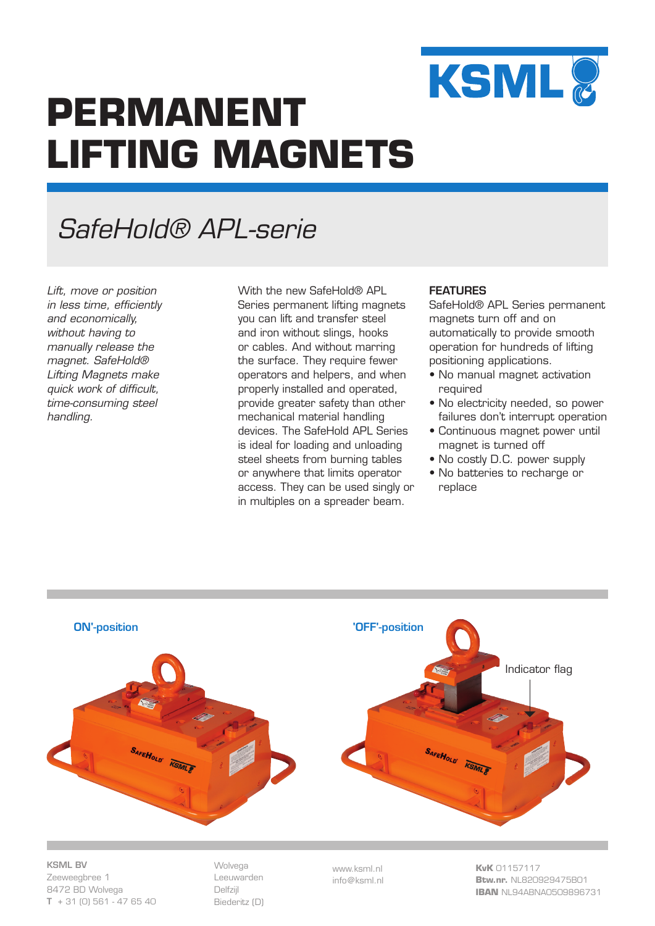

# **PERMANENT LIFTING MAGNETS**

## *SafeHold® APL-serie*

*Lift, move or position in less time, efficiently and economically, without having to manually release the magnet. SafeHold® Lifting Magnets make quick work of difficult, time-consuming steel handling.*

With the new SafeHold® API Series permanent lifting magnets you can lift and transfer steel and iron without slings, hooks or cables. And without marring the surface. They require fewer operators and helpers, and when properly installed and operated, provide greater safety than other mechanical material handling devices. The SafeHold APL Series is ideal for loading and unloading steel sheets from burning tables or anywhere that limits operator access. They can be used singly or in multiples on a spreader beam.

### FEATURES

SafeHold® APL Series permanent magnets turn off and on automatically to provide smooth operation for hundreds of lifting positioning applications.

- No manual magnet activation required
- No electricity needed, so power failures don't interrupt operation
- Continuous magnet power until magnet is turned off
- No costly D.C. power supply
- No batteries to recharge or replace



KSML BV Zeeweegbree 1 8472 BD Wolvega  $T + 31$  (0) 561 - 47 65 40 Wolvega Leeuwarden Delfzijl Biederitz (D)

www.ksml.nl info@ksml.nl **KvK** 01157117 **Btw.nr.** NL820929475B01 **IBAN** NL94ABNA0509896731